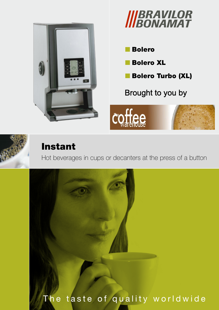



**Bolero** 

- **Bolero XL**
- Bolero Turbo (XL)

Brought to you by





## Instant

Hot beverages in cups or decanters at the press of a button



# The taste of quality worldwide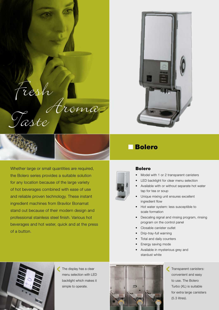





### **Bolero**

#### Bolero

- Model with 1 or 2 transparent canisters
- LED backlight for clear menu selection
- Available with or without separate hot water tap for tea or soup
- Unique mixing unit ensures excellent ingredient flow
- • Hot water system: less susceptible to scale formation
- • Descaling signal and rinsing program, rinsing program on the control panel
- Closable canister outlet
- Drip-tray-full warning
- Total and daily counters
- Energy saving mode
- • Available in mysterious grey and stardust white



The display has a clear menu selection with LED backlight which makes it simple to operate.



Transparent canisters: convenient and easy to use. The Bolero Turbo (XL) is suitable for extra large canisters (5.3 litres).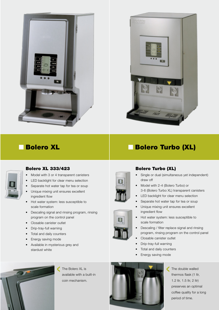



## ■ Bolero XL





### Bolero XL 333/423

- Model with 3 or 4 transparent canisters
- LED backlight for clear menu selection
- Separate hot water tap for tea or soup
- Unique mixing unit ensures excellent ingredient flow
- Hot water system: less susceptible to scale formation
- • Descaling signal and rinsing program, rinsing program on the control panel
- Closable canister outlet
- Drip-tray-full warning
- • Total and daily counters
- Energy saving mode
- Available in mysterious grey and stardust white



- Single or dual (simultaneous yet independent) draw off
- Model with 2-4 (Bolero Turbo) or 3-6 (Bolero Turbo XL) transparent canisters
- LED backlight for clear menu selection
- Separate hot water tap for tea or soup
- • Unique mixing unit ensures excellent ingredient flow
- • Hot water system: less susceptible to scale formation
- • Descaling / filter replace signal and rinsing program, rinsing program on the control panel
- Closable canister outlet
- Drip-tray-full warning
- Total and daily counters
- Energy saving mode



The Bolero XL is available with a built-in coin mechanism.



The double walled € thermos flask (1 ltr, 1.2 ltr, 1.5 ltr, 2 ltr) preserves an optimal coffee quality for a long period of time.